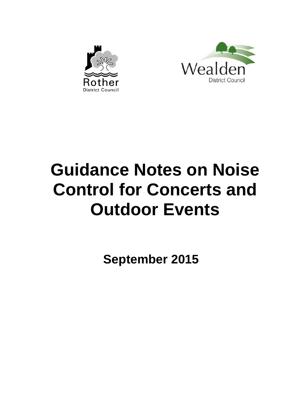



# **Guidance Notes on Noise Control for Concerts and Outdoor Events**

**September 2015**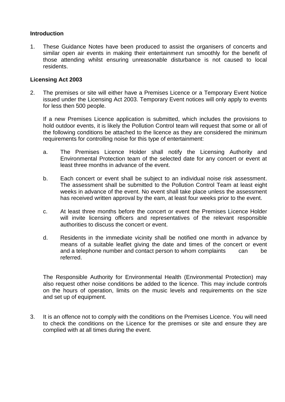## **Introduction**

1. These Guidance Notes have been produced to assist the organisers of concerts and similar open air events in making their entertainment run smoothly for the benefit of those attending whilst ensuring unreasonable disturbance is not caused to local residents.

## **Licensing Act 2003**

2. The premises or site will either have a Premises Licence or a Temporary Event Notice issued under the Licensing Act 2003. Temporary Event notices will only apply to events for less then 500 people.

If a new Premises Licence application is submitted, which includes the provisions to hold outdoor events, it is likely the Pollution Control team will request that some or all of the following conditions be attached to the licence as they are considered the minimum requirements for controlling noise for this type of entertainment:

- a. The Premises Licence Holder shall notify the Licensing Authority and Environmental Protection team of the selected date for any concert or event at least three months in advance of the event.
- b. Each concert or event shall be subject to an individual noise risk assessment. The assessment shall be submitted to the Pollution Control Team at least eight weeks in advance of the event. No event shall take place unless the assessment has received written approval by the eam, at least four weeks prior to the event.
- c. At least three months before the concert or event the Premises Licence Holder will invite licensing officers and representatives of the relevant responsible authorities to discuss the concert or event.
- d. Residents in the immediate vicinity shall be notified one month in advance by means of a suitable leaflet giving the date and times of the concert or event and a telephone number and contact person to whom complaints can be referred.

The Responsible Authority for Environmental Health (Environmental Protection) may also request other noise conditions be added to the licence. This may include controls on the hours of operation, limits on the music levels and requirements on the size and set up of equipment.

3. It is an offence not to comply with the conditions on the Premises Licence. You will need to check the conditions on the Licence for the premises or site and ensure they are complied with at all times during the event.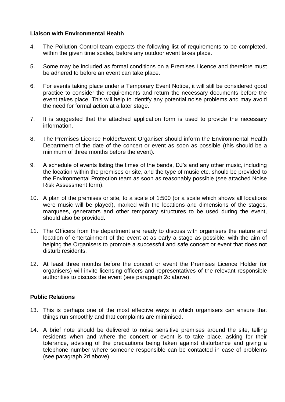# **Liaison with Environmental Health**

- 4. The Pollution Control team expects the following list of requirements to be completed, within the given time scales, before any outdoor event takes place.
- 5. Some may be included as formal conditions on a Premises Licence and therefore must be adhered to before an event can take place.
- 6. For events taking place under a Temporary Event Notice, it will still be considered good practice to consider the requirements and return the necessary documents before the event takes place. This will help to identify any potential noise problems and may avoid the need for formal action at a later stage.
- 7. It is suggested that the attached application form is used to provide the necessary information.
- 8. The Premises Licence Holder/Event Organiser should inform the Environmental Health Department of the date of the concert or event as soon as possible (this should be a minimum of three months before the event).
- 9. A schedule of events listing the times of the bands, DJ's and any other music, including the location within the premises or site, and the type of music etc. should be provided to the Environmental Protection team as soon as reasonably possible (see attached Noise Risk Assessment form).
- 10. A plan of the premises or site, to a scale of 1:500 (or a scale which shows all locations were music will be played), marked with the locations and dimensions of the stages, marquees, generators and other temporary structures to be used during the event, should also be provided.
- 11. The Officers from the department are ready to discuss with organisers the nature and location of entertainment of the event at as early a stage as possible, with the aim of helping the Organisers to promote a successful and safe concert or event that does not disturb residents.
- 12. At least three months before the concert or event the Premises Licence Holder (or organisers) will invite licensing officers and representatives of the relevant responsible authorities to discuss the event (see paragraph 2c above).

# **Public Relations**

- 13. This is perhaps one of the most effective ways in which organisers can ensure that things run smoothly and that complaints are minimised.
- 14. A brief note should be delivered to noise sensitive premises around the site, telling residents when and where the concert or event is to take place, asking for their tolerance, advising of the precautions being taken against disturbance and giving a telephone number where someone responsible can be contacted in case of problems (see paragraph 2d above)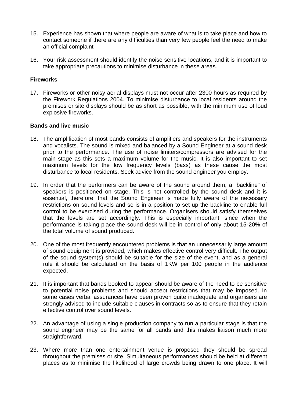- 15. Experience has shown that where people are aware of what is to take place and how to contact someone if there are any difficulties than very few people feel the need to make an official complaint
- 16. Your risk assessment should identify the noise sensitive locations, and it is important to take appropriate precautions to minimise disturbance in these areas.

## **Fireworks**

17. Fireworks or other noisy aerial displays must not occur after 2300 hours as required by the Firework Regulations 2004. To minimise disturbance to local residents around the premises or site displays should be as short as possible, with the minimum use of loud explosive fireworks.

#### **Bands and live music**

- 18. The amplification of most bands consists of amplifiers and speakers for the instruments and vocalists. The sound is mixed and balanced by a Sound Engineer at a sound desk prior to the performance. The use of noise limiters/compressors are advised for the main stage as this sets a maximum volume for the music. It is also important to set maximum levels for the low frequency levels (bass) as these cause the most disturbance to local residents. Seek advice from the sound engineer you employ.
- 19. In order that the performers can be aware of the sound around them, a "backline" of speakers is positioned on stage. This is not controlled by the sound desk and it is essential, therefore, that the Sound Engineer is made fully aware of the necessary restrictions on sound levels and so is in a position to set up the backline to enable full control to be exercised during the performance. Organisers should satisfy themselves that the levels are set accordingly. This is especially important, since when the performance is taking place the sound desk will be in control of only about 15-20% of the total volume of sound produced.
- 20. One of the most frequently encountered problems is that an unnecessarily large amount of sound equipment is provided, which makes effective control very difficult. The output of the sound system(s) should be suitable for the size of the event, and as a general rule it should be calculated on the basis of 1KW per 100 people in the audience expected.
- 21. It is important that bands booked to appear should be aware of the need to be sensitive to potential noise problems and should accept restrictions that may be imposed. In some cases verbal assurances have been proven quite inadequate and organisers are strongly advised to include suitable clauses in contracts so as to ensure that they retain effective control over sound levels.
- 22. An advantage of using a single production company to run a particular stage is that the sound engineer may be the same for all bands and this makes liaison much more straightforward.
- 23. Where more than one entertainment venue is proposed they should be spread throughout the premises or site. Simultaneous performances should be held at different places as to minimise the likelihood of large crowds being drawn to one place. It will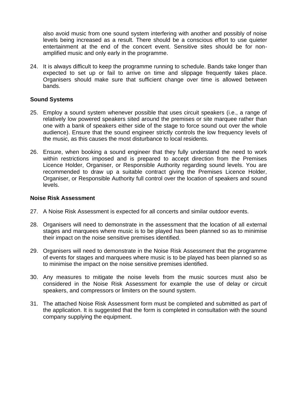also avoid music from one sound system interfering with another and possibly of noise levels being increased as a result. There should be a conscious effort to use quieter entertainment at the end of the concert event. Sensitive sites should be for nonamplified music and only early in the programme.

24. It is always difficult to keep the programme running to schedule. Bands take longer than expected to set up or fail to arrive on time and slippage frequently takes place. Organisers should make sure that sufficient change over time is allowed between bands.

#### **Sound Systems**

- 25. Employ a sound system whenever possible that uses circuit speakers (i.e., a range of relatively low powered speakers sited around the premises or site marquee rather than one with a bank of speakers either side of the stage to force sound out over the whole audience). Ensure that the sound engineer strictly controls the low frequency levels of the music, as this causes the most disturbance to local residents.
- 26. Ensure, when booking a sound engineer that they fully understand the need to work within restrictions imposed and is prepared to accept direction from the Premises Licence Holder, Organiser, or Responsible Authority regarding sound levels. You are recommended to draw up a suitable contract giving the Premises Licence Holder, Organiser, or Responsible Authority full control over the location of speakers and sound levels.

#### **Noise Risk Assessment**

- 27. A Noise Risk Assessment is expected for all concerts and similar outdoor events.
- 28. Organisers will need to demonstrate in the assessment that the location of all external stages and marquees where music is to be played has been planned so as to minimise their impact on the noise sensitive premises identified.
- 29. Organisers will need to demonstrate in the Noise Risk Assessment that the programme of events for stages and marquees where music is to be played has been planned so as to minimise the impact on the noise sensitive premises identified.
- 30. Any measures to mitigate the noise levels from the music sources must also be considered in the Noise Risk Assessment for example the use of delay or circuit speakers, and compressors or limiters on the sound system.
- 31. The attached Noise Risk Assessment form must be completed and submitted as part of the application. It is suggested that the form is completed in consultation with the sound company supplying the equipment.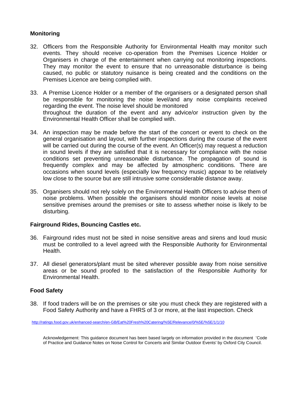# **Monitoring**

- 32. Officers from the Responsible Authority for Environmental Health may monitor such events. They should receive co-operation from the Premises Licence Holder or Organisers in charge of the entertainment when carrying out monitoring inspections. They may monitor the event to ensure that no unreasonable disturbance is being caused, no public or statutory nuisance is being created and the conditions on the Premises Licence are being complied with.
- 33. A Premise Licence Holder or a member of the organisers or a designated person shall be responsible for monitoring the noise level/and any noise complaints received regarding the event. The noise level should be monitored throughout the duration of the event and any advice/or instruction given by the Environmental Health Officer shall be complied with.
- 34. An inspection may be made before the start of the concert or event to check on the general organisation and layout, with further inspections during the course of the event will be carried out during the course of the event. An Officer(s) may request a reduction in sound levels if they are satisfied that it is necessary for compliance with the noise conditions set preventing unreasonable disturbance. The propagation of sound is frequently complex and may be affected by atmospheric conditions. There are occasions when sound levels (especially low frequency music) appear to be relatively low close to the source but are still intrusive some considerable distance away.
- 35. Organisers should not rely solely on the Environmental Health Officers to advise them of noise problems. When possible the organisers should monitor noise levels at noise sensitive premises around the premises or site to assess whether noise is likely to be disturbing.

## **Fairground Rides, Bouncing Castles etc.**

- 36. Fairground rides must not be sited in noise sensitive areas and sirens and loud music must be controlled to a level agreed with the Responsible Authority for Environmental Health.
- 37. All diesel generators/plant must be sited wherever possible away from noise sensitive areas or be sound proofed to the satisfaction of the Responsible Authority for Environmental Health.

## **Food Safety**

38. If food traders will be on the premises or site you must check they are registered with a Food Safety Authority and have a FHRS of 3 or more, at the last inspection. Check

<http://ratings.food.gov.uk/enhanced-search/en-GB/Eat%20Fresh%20Catering/%5E/Relevance/0/%5E/%5E/1/1/10>

Acknowledgement: This guidance document has been based largely on information provided in the document 'Code of Practice and Guidance Notes on Noise Control for Concerts and Similar Outdoor Events' by Oxford City Council.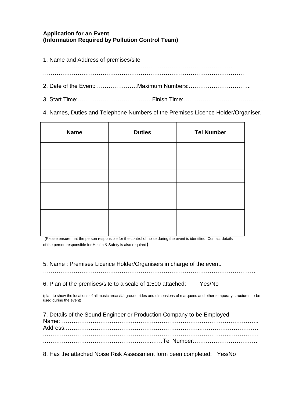# **Application for an Event (Information Required by Pollution Control Team)**

| 1. Name and Address of premises/site |
|--------------------------------------|
|                                      |
|                                      |
|                                      |

4. Names, Duties and Telephone Numbers of the Premises Licence Holder/Organiser.

| <b>Name</b> | <b>Duties</b> | <b>Tel Number</b> |
|-------------|---------------|-------------------|
|             |               |                   |
|             |               |                   |
|             |               |                   |
|             |               |                   |
|             |               |                   |
|             |               |                   |
|             |               |                   |

(Please ensure that the person responsible for the control of noise during the event is identified. Contact details of the person responsible for Health & Safety is also required)

5. Name : Premises Licence Holder/Organisers in charge of the event.

…………………………………………………………………………………………………

6. Plan of the premises/site to a scale of 1:500 attached: Yes/No

(plan to show the locations of all music areas/fairground rides and dimensions of marquees and other temporary structures to be used during the event)

| 7. Details of the Sound Engineer or Production Company to be Employed |  |
|-----------------------------------------------------------------------|--|
|                                                                       |  |
|                                                                       |  |
|                                                                       |  |

8. Has the attached Noise Risk Assessment form been completed: Yes/No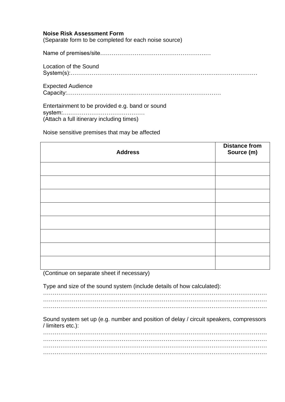## **Noise Risk Assessment Form**

(Separate form to be completed for each noise source)

Name of premises/site……………………………………………….…

Location of the Sound System(s):……………………………………………………………….….…………………

Expected Audience

Capacity:……………………………...………………………………………

Entertainment to be provided e.g. band or sound system:….………………………………… (Attach a full itinerary including times)

Noise sensitive premises that may be affected

| <b>Address</b> | <b>Distance from</b><br>Source (m) |
|----------------|------------------------------------|
|                |                                    |
|                |                                    |
|                |                                    |
|                |                                    |
|                |                                    |
|                |                                    |
|                |                                    |
|                |                                    |

(Continue on separate sheet if necessary)

Type and size of the sound system (include details of how calculated):

……………………………………………………………………………………………………… ……………………………………………………………………………………………………… ………………………………………………………………………………………………………

Sound system set up (e.g. number and position of delay / circuit speakers, compressors / limiters etc.):

……………………………………………………………………………………………………… ……………………………………………………………………………………………………… ……………………………………………………………………………………………………… ………………………………………………………………………………………………………